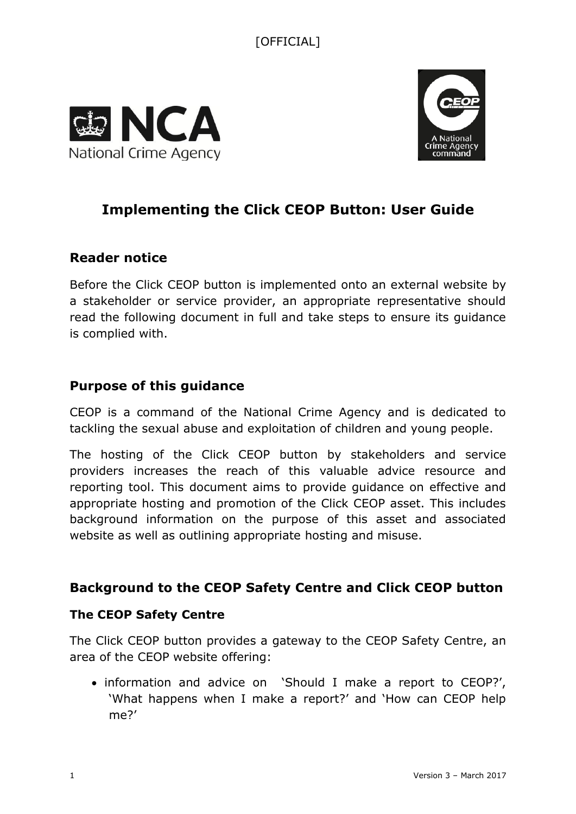



# **Implementing the Click CEOP Button: User Guide**

## **Reader notice**

Before the Click CEOP button is implemented onto an external website by a stakeholder or service provider, an appropriate representative should read the following document in full and take steps to ensure its guidance is complied with.

### **Purpose of this guidance**

CEOP is a command of the National Crime Agency and is dedicated to tackling the sexual abuse and exploitation of children and young people.

The hosting of the Click CEOP button by stakeholders and service providers increases the reach of this valuable advice resource and reporting tool. This document aims to provide guidance on effective and appropriate hosting and promotion of the Click CEOP asset. This includes background information on the purpose of this asset and associated website as well as outlining appropriate hosting and misuse.

## **Background to the CEOP Safety Centre and Click CEOP button**

### **The CEOP Safety Centre**

The Click CEOP button provides a gateway to the CEOP Safety Centre, an area of the CEOP website offering:

• information and advice on 'Should I make a report to CEOP?', 'What happens when I make a report?' and 'How can CEOP help me?'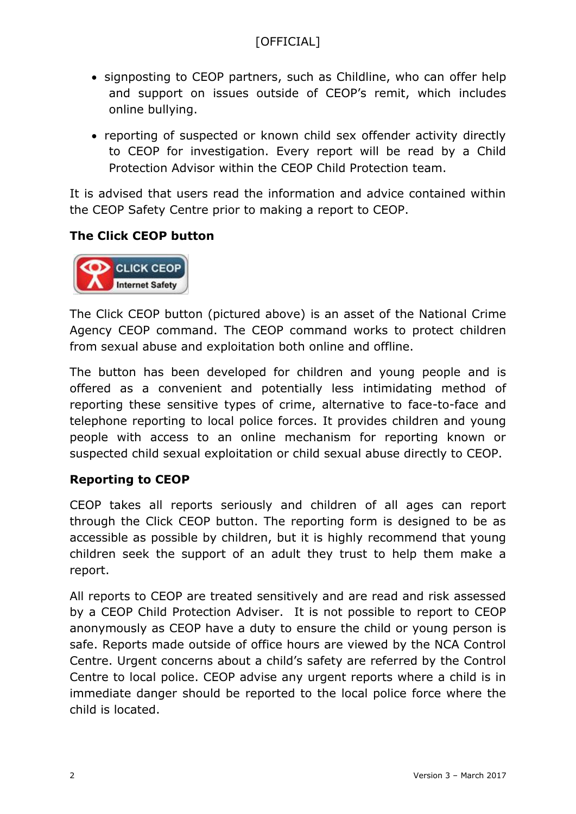- signposting to CEOP partners, such as Childline, who can offer help and support on issues outside of CEOP's remit, which includes online bullying.
- reporting of suspected or known child sex offender activity directly to CEOP for investigation. Every report will be read by a Child Protection Advisor within the CEOP Child Protection team.

It is advised that users read the information and advice contained within the CEOP Safety Centre prior to making a report to CEOP.

### **The Click CEOP button**



The Click CEOP button (pictured above) is an asset of the National Crime Agency CEOP command. The CEOP command works to protect children from sexual abuse and exploitation both online and offline.

The button has been developed for children and young people and is offered as a convenient and potentially less intimidating method of reporting these sensitive types of crime, alternative to face-to-face and telephone reporting to local police forces. It provides children and young people with access to an online mechanism for reporting known or suspected child sexual exploitation or child sexual abuse directly to CEOP.

### **Reporting to CEOP**

CEOP takes all reports seriously and children of all ages can report through the Click CEOP button. The reporting form is designed to be as accessible as possible by children, but it is highly recommend that young children seek the support of an adult they trust to help them make a report.

All reports to CEOP are treated sensitively and are read and risk assessed by a CEOP Child Protection Adviser. It is not possible to report to CEOP anonymously as CEOP have a duty to ensure the child or young person is safe. Reports made outside of office hours are viewed by the NCA Control Centre. Urgent concerns about a child's safety are referred by the Control Centre to local police. CEOP advise any urgent reports where a child is in immediate danger should be reported to the local police force where the child is located.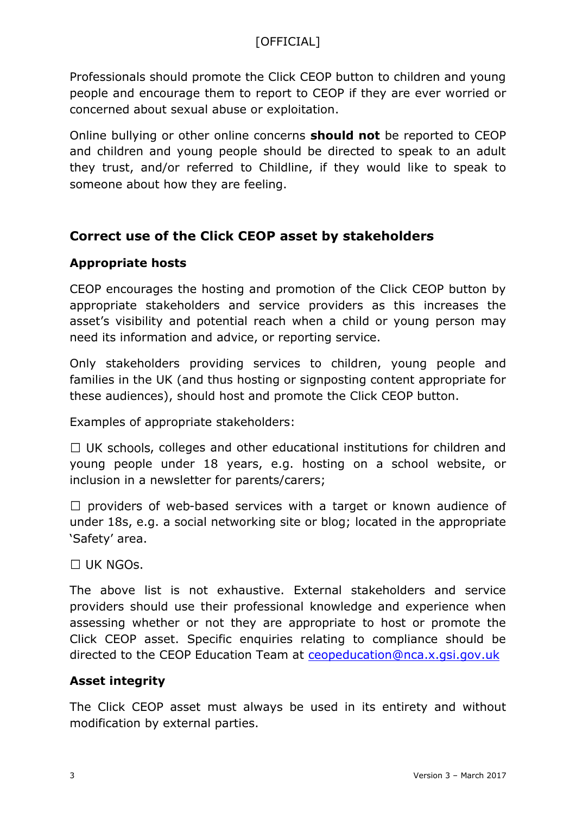Professionals should promote the Click CEOP button to children and young people and encourage them to report to CEOP if they are ever worried or concerned about sexual abuse or exploitation.

Online bullying or other online concerns **should not** be reported to CEOP and children and young people should be directed to speak to an adult they trust, and/or referred to Childline, if they would like to speak to someone about how they are feeling.

# **Correct use of the Click CEOP asset by stakeholders**

### **Appropriate hosts**

CEOP encourages the hosting and promotion of the Click CEOP button by appropriate stakeholders and service providers as this increases the asset's visibility and potential reach when a child or young person may need its information and advice, or reporting service.

Only stakeholders providing services to children, young people and families in the UK (and thus hosting or signposting content appropriate for these audiences), should host and promote the Click CEOP button.

Examples of appropriate stakeholders:

 $\Box$  UK schools, colleges and other educational institutions for children and young people under 18 years, e.g. hosting on a school website, or inclusion in a newsletter for parents/carers;

 $\Box$  providers of web-based services with a target or known audience of under 18s, e.g. a social networking site or blog; located in the appropriate 'Safety' area.

 $\Box$  UK NGOs.

The above list is not exhaustive. External stakeholders and service providers should use their professional knowledge and experience when assessing whether or not they are appropriate to host or promote the Click CEOP asset. Specific enquiries relating to compliance should be directed to the CEOP Education Team at [ceopeducation@nca.x.gsi.gov.uk](mailto:ceopeducation@nca.x.gsi.gov.uk)

### **Asset integrity**

The Click CEOP asset must always be used in its entirety and without modification by external parties.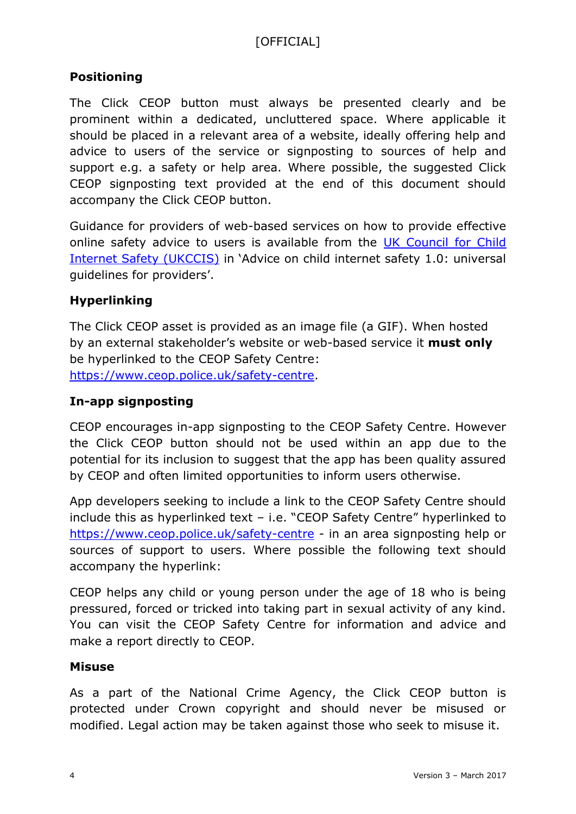### **Positioning**

The Click CEOP button must always be presented clearly and be prominent within a dedicated, uncluttered space. Where applicable it should be placed in a relevant area of a website, ideally offering help and advice to users of the service or signposting to sources of help and support e.g. a safety or help area. Where possible, the suggested Click CEOP signposting text provided at the end of this document should accompany the Click CEOP button.

Guidance for providers of web-based services on how to provide effective online safety advice to users is available from the [UK Council for Child](http://www.gov.uk/government/groups/uk-council-for-child-internet-safety-ukccis)  [Internet Safety \(UKCCIS\)](http://www.gov.uk/government/groups/uk-council-for-child-internet-safety-ukccis) in 'Advice on child internet safety 1.0: universal guidelines for providers'.

### **Hyperlinking**

The Click CEOP asset is provided as an image file (a GIF). When hosted by an external stakeholder's website or web-based service it **must only** be hyperlinked to the CEOP Safety Centre: [https://www.ceop.police.uk/safety-centre.](https://www.ceop.police.uk/safety-centre)

#### **In-app signposting**

CEOP encourages in-app signposting to the CEOP Safety Centre. However the Click CEOP button should not be used within an app due to the potential for its inclusion to suggest that the app has been quality assured by CEOP and often limited opportunities to inform users otherwise.

App developers seeking to include a link to the CEOP Safety Centre should include this as hyperlinked text – i.e. "CEOP Safety Centre" hyperlinked to <https://www.ceop.police.uk/safety-centre> - in an area signposting help or sources of support to users. Where possible the following text should accompany the hyperlink:

CEOP helps any child or young person under the age of 18 who is being pressured, forced or tricked into taking part in sexual activity of any kind. You can visit the CEOP Safety Centre for information and advice and make a report directly to CEOP.

#### **Misuse**

As a part of the National Crime Agency, the Click CEOP button is protected under Crown copyright and should never be misused or modified. Legal action may be taken against those who seek to misuse it.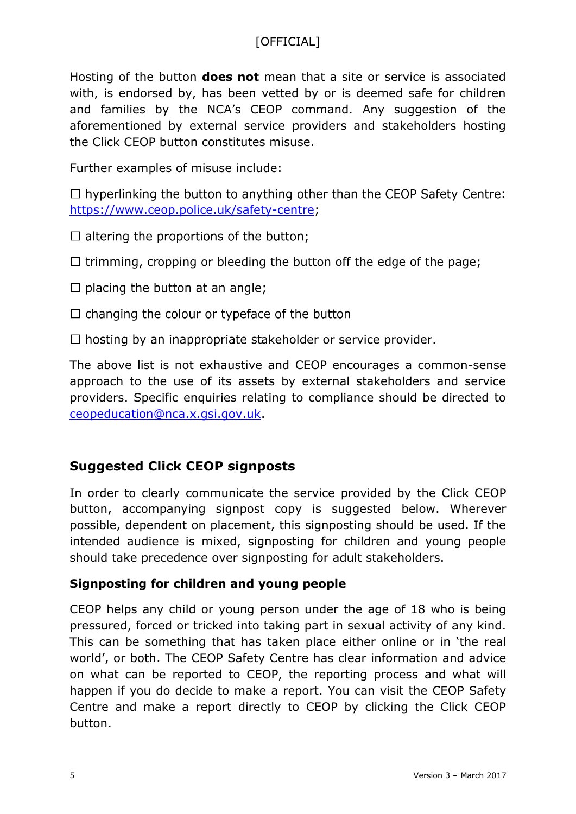Hosting of the button **does not** mean that a site or service is associated with, is endorsed by, has been vetted by or is deemed safe for children and families by the NCA's CEOP command. Any suggestion of the aforementioned by external service providers and stakeholders hosting the Click CEOP button constitutes misuse.

Further examples of misuse include:

 $\Box$  hyperlinking the button to anything other than the CEOP Safety Centre: [https://www.ceop.police.uk/safety-centre;](https://www.ceop.police.uk/safety-centre)

- $\Box$  altering the proportions of the button;
- $\Box$  trimming, cropping or bleeding the button off the edge of the page;
- $\Box$  placing the button at an angle;
- $\Box$  changing the colour or typeface of the button
- $\Box$  hosting by an inappropriate stakeholder or service provider.

The above list is not exhaustive and CEOP encourages a common-sense approach to the use of its assets by external stakeholders and service providers. Specific enquiries relating to compliance should be directed to [ceopeducation@nca.x.gsi.gov.uk.](mailto:ceopeducation@nca.x.gsi.gov.uk)

## **Suggested Click CEOP signposts**

In order to clearly communicate the service provided by the Click CEOP button, accompanying signpost copy is suggested below. Wherever possible, dependent on placement, this signposting should be used. If the intended audience is mixed, signposting for children and young people should take precedence over signposting for adult stakeholders.

#### **Signposting for children and young people**

CEOP helps any child or young person under the age of 18 who is being pressured, forced or tricked into taking part in sexual activity of any kind. This can be something that has taken place either online or in 'the real world', or both. The CEOP Safety Centre has clear information and advice on what can be reported to CEOP, the reporting process and what will happen if you do decide to make a report. You can visit the CEOP Safety Centre and make a report directly to CEOP by clicking the Click CEOP button.